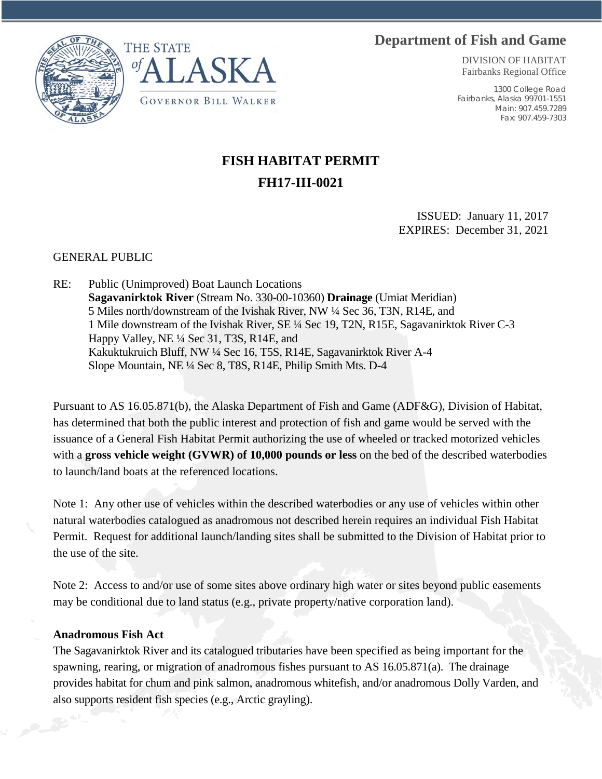## **Department of Fish and Game**





DIVISION OF HABITAT Fairbanks Regional Office

1300 College Road Fairbanks, Alaska 99701-1551 Main: 907.459.7289 Fax: 907.459-7303

## **FISH HABITAT PERMIT FH17-III-0021**

ISSUED: January 11, 2017 EXPIRES: December 31, 2021

GENERAL PUBLIC

RE: Public (Unimproved) Boat Launch Locations **Sagavanirktok River** (Stream No. 330-00-10360) **Drainage** (Umiat Meridian) 5 Miles north/downstream of the Ivishak River, NW ¼ Sec 36, T3N, R14E, and 1 Mile downstream of the Ivishak River, SE ¼ Sec 19, T2N, R15E, Sagavanirktok River C-3 Happy Valley, NE ¼ Sec 31, T3S, R14E, and Kakuktukruich Bluff, NW ¼ Sec 16, T5S, R14E, Sagavanirktok River A-4 Slope Mountain, NE ¼ Sec 8, T8S, R14E, Philip Smith Mts. D-4

Pursuant to AS 16.05.871(b), the Alaska Department of Fish and Game (ADF&G), Division of Habitat, has determined that both the public interest and protection of fish and game would be served with the issuance of a General Fish Habitat Permit authorizing the use of wheeled or tracked motorized vehicles with a **gross vehicle weight (GVWR) of 10,000 pounds or less** on the bed of the described waterbodies to launch/land boats at the referenced locations.

Note 1: Any other use of vehicles within the described waterbodies or any use of vehicles within other natural waterbodies catalogued as anadromous not described herein requires an individual Fish Habitat Permit. Request for additional launch/landing sites shall be submitted to the Division of Habitat prior to the use of the site.

Note 2: Access to and/or use of some sites above ordinary high water or sites beyond public easements may be conditional due to land status (e.g., private property/native corporation land).

## **Anadromous Fish Act**

The Sagavanirktok River and its catalogued tributaries have been specified as being important for the spawning, rearing, or migration of anadromous fishes pursuant to AS 16.05.871(a). The drainage provides habitat for chum and pink salmon, anadromous whitefish, and/or anadromous Dolly Varden, and also supports resident fish species (e.g., Arctic grayling).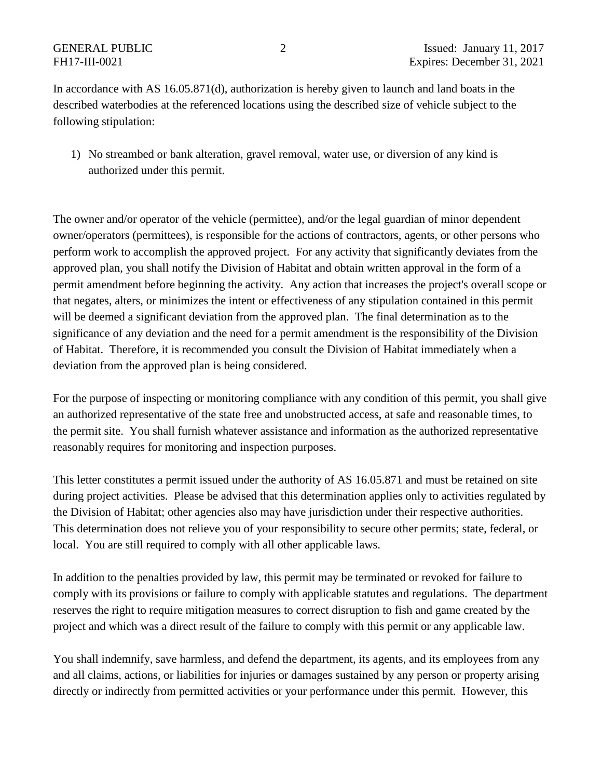In accordance with AS 16.05.871(d), authorization is hereby given to launch and land boats in the described waterbodies at the referenced locations using the described size of vehicle subject to the following stipulation:

1) No streambed or bank alteration, gravel removal, water use, or diversion of any kind is authorized under this permit.

The owner and/or operator of the vehicle (permittee), and/or the legal guardian of minor dependent owner/operators (permittees), is responsible for the actions of contractors, agents, or other persons who perform work to accomplish the approved project. For any activity that significantly deviates from the approved plan, you shall notify the Division of Habitat and obtain written approval in the form of a permit amendment before beginning the activity. Any action that increases the project's overall scope or that negates, alters, or minimizes the intent or effectiveness of any stipulation contained in this permit will be deemed a significant deviation from the approved plan. The final determination as to the significance of any deviation and the need for a permit amendment is the responsibility of the Division of Habitat. Therefore, it is recommended you consult the Division of Habitat immediately when a deviation from the approved plan is being considered.

For the purpose of inspecting or monitoring compliance with any condition of this permit, you shall give an authorized representative of the state free and unobstructed access, at safe and reasonable times, to the permit site. You shall furnish whatever assistance and information as the authorized representative reasonably requires for monitoring and inspection purposes.

This letter constitutes a permit issued under the authority of AS 16.05.871 and must be retained on site during project activities. Please be advised that this determination applies only to activities regulated by the Division of Habitat; other agencies also may have jurisdiction under their respective authorities. This determination does not relieve you of your responsibility to secure other permits; state, federal, or local. You are still required to comply with all other applicable laws.

In addition to the penalties provided by law, this permit may be terminated or revoked for failure to comply with its provisions or failure to comply with applicable statutes and regulations. The department reserves the right to require mitigation measures to correct disruption to fish and game created by the project and which was a direct result of the failure to comply with this permit or any applicable law.

You shall indemnify, save harmless, and defend the department, its agents, and its employees from any and all claims, actions, or liabilities for injuries or damages sustained by any person or property arising directly or indirectly from permitted activities or your performance under this permit. However, this